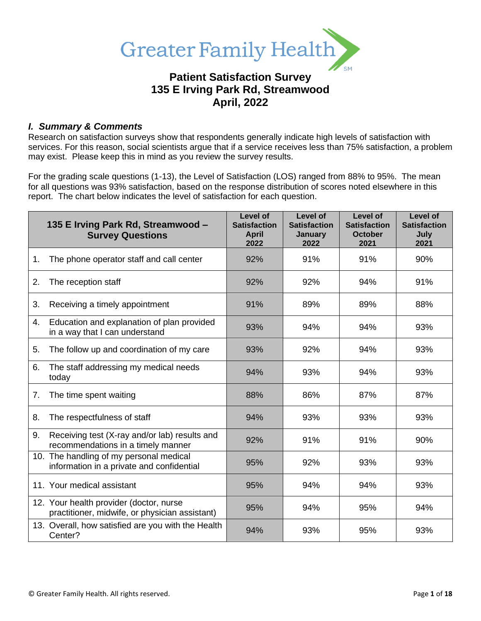

# **Patient Satisfaction Survey 135 E Irving Park Rd, Streamwood April, 2022**

### *I. Summary & Comments*

Research on satisfaction surveys show that respondents generally indicate high levels of satisfaction with services. For this reason, social scientists argue that if a service receives less than 75% satisfaction, a problem may exist. Please keep this in mind as you review the survey results.

For the grading scale questions (1-13), the Level of Satisfaction (LOS) ranged from 88% to 95%. The mean for all questions was 93% satisfaction, based on the response distribution of scores noted elsewhere in this report. The chart below indicates the level of satisfaction for each question.

|    | 135 E Irving Park Rd, Streamwood -<br><b>Survey Questions</b>                             | Level of<br><b>Satisfaction</b><br><b>April</b><br>2022 | Level of<br><b>Satisfaction</b><br>January<br>2022 | Level of<br><b>Satisfaction</b><br><b>October</b><br>2021 | Level of<br><b>Satisfaction</b><br>July<br>2021 |
|----|-------------------------------------------------------------------------------------------|---------------------------------------------------------|----------------------------------------------------|-----------------------------------------------------------|-------------------------------------------------|
| 1. | The phone operator staff and call center                                                  | 92%                                                     | 91%                                                | 91%                                                       | 90%                                             |
| 2. | The reception staff                                                                       | 92%                                                     | 92%                                                | 94%                                                       | 91%                                             |
| 3. | Receiving a timely appointment                                                            | 91%                                                     | 89%                                                | 89%                                                       | 88%                                             |
| 4. | Education and explanation of plan provided<br>in a way that I can understand              | 93%                                                     | 94%                                                | 94%                                                       | 93%                                             |
| 5. | The follow up and coordination of my care                                                 | 93%                                                     | 92%                                                | 94%                                                       | 93%                                             |
| 6. | The staff addressing my medical needs<br>today                                            | 94%                                                     | 93%                                                | 94%                                                       | 93%                                             |
| 7. | The time spent waiting                                                                    | 88%                                                     | 86%                                                | 87%                                                       | 87%                                             |
| 8. | The respectfulness of staff                                                               | 94%                                                     | 93%                                                | 93%                                                       | 93%                                             |
| 9. | Receiving test (X-ray and/or lab) results and<br>recommendations in a timely manner       | 92%                                                     | 91%                                                | 91%                                                       | 90%                                             |
|    | 10. The handling of my personal medical<br>information in a private and confidential      | 95%                                                     | 92%                                                | 93%                                                       | 93%                                             |
|    | 11. Your medical assistant                                                                | 95%                                                     | 94%                                                | 94%                                                       | 93%                                             |
|    | 12. Your health provider (doctor, nurse<br>practitioner, midwife, or physician assistant) | 95%                                                     | 94%                                                | 95%                                                       | 94%                                             |
|    | 13. Overall, how satisfied are you with the Health<br>Center?                             | 94%                                                     | 93%                                                | 95%                                                       | 93%                                             |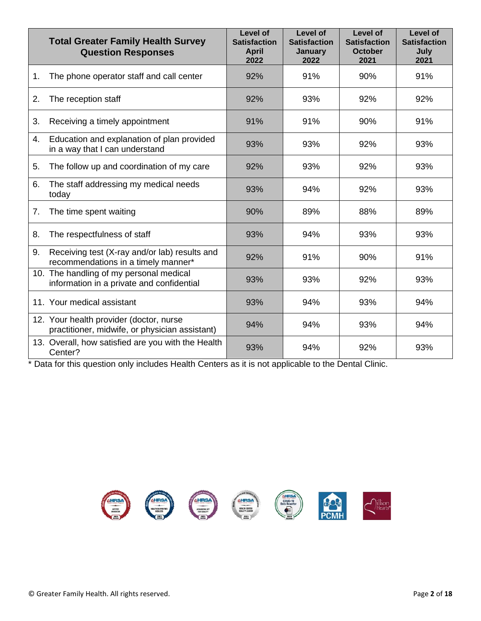|    | <b>Total Greater Family Health Survey</b><br><b>Question Responses</b>                    | Level of<br><b>Satisfaction</b><br><b>April</b><br>2022 | Level of<br><b>Satisfaction</b><br><b>January</b><br>2022 | Level of<br><b>Satisfaction</b><br><b>October</b><br>2021 | Level of<br><b>Satisfaction</b><br>July<br>2021 |
|----|-------------------------------------------------------------------------------------------|---------------------------------------------------------|-----------------------------------------------------------|-----------------------------------------------------------|-------------------------------------------------|
| 1. | The phone operator staff and call center                                                  | 92%                                                     | 91%                                                       | 90%                                                       | 91%                                             |
| 2. | The reception staff                                                                       | 92%                                                     | 93%                                                       | 92%                                                       | 92%                                             |
| 3. | Receiving a timely appointment                                                            | 91%                                                     | 91%                                                       | 90%                                                       | 91%                                             |
| 4. | Education and explanation of plan provided<br>in a way that I can understand              | 93%                                                     | 93%                                                       | 92%                                                       | 93%                                             |
| 5. | The follow up and coordination of my care                                                 | 92%                                                     | 93%                                                       | 92%                                                       | 93%                                             |
| 6. | The staff addressing my medical needs<br>today                                            | 93%                                                     | 94%                                                       | 92%                                                       | 93%                                             |
| 7. | The time spent waiting                                                                    | 90%                                                     | 89%                                                       | 88%                                                       | 89%                                             |
| 8. | The respectfulness of staff                                                               | 93%                                                     | 94%                                                       | 93%                                                       | 93%                                             |
| 9. | Receiving test (X-ray and/or lab) results and<br>recommendations in a timely manner*      | 92%                                                     | 91%                                                       | 90%                                                       | 91%                                             |
|    | 10. The handling of my personal medical<br>information in a private and confidential      | 93%                                                     | 93%                                                       | 92%                                                       | 93%                                             |
|    | 11. Your medical assistant                                                                | 93%                                                     | 94%                                                       | 93%                                                       | 94%                                             |
|    | 12. Your health provider (doctor, nurse<br>practitioner, midwife, or physician assistant) | 94%                                                     | 94%                                                       | 93%                                                       | 94%                                             |
|    | 13. Overall, how satisfied are you with the Health<br>Center?                             | 93%                                                     | 94%                                                       | 92%                                                       | 93%                                             |

\* Data for this question only includes Health Centers as it is not applicable to the Dental Clinic.

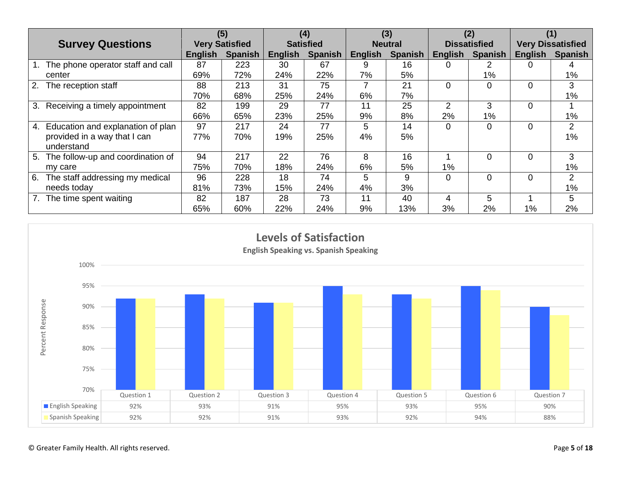|                                         | (5)                   |                | (4)              |                | (3)            |                | (2)                 |                | (1)                      |                |
|-----------------------------------------|-----------------------|----------------|------------------|----------------|----------------|----------------|---------------------|----------------|--------------------------|----------------|
| <b>Survey Questions</b>                 | <b>Very Satisfied</b> |                | <b>Satisfied</b> |                | <b>Neutral</b> |                | <b>Dissatisfied</b> |                | <b>Very Dissatisfied</b> |                |
|                                         | English               | <b>Spanish</b> | <b>English</b>   | <b>Spanish</b> | English        | <b>Spanish</b> | <b>English</b>      | <b>Spanish</b> | <b>English</b>           | <b>Spanish</b> |
| The phone operator staff and call       | 87                    | 223            | 30               | 67             | 9              | 16             |                     |                |                          |                |
| center                                  | 69%                   | 72%            | 24%              | 22%            | 7%             | 5%             |                     | $1\%$          |                          | $1\%$          |
| 2.<br>The reception staff               | 88                    | 213            | 31               | 75             |                | 21             | $\Omega$            | 0              | $\Omega$                 | 3              |
|                                         | 70%                   | 68%            | 25%              | 24%            | 6%             | 7%             |                     |                |                          | $1\%$          |
| Receiving a timely appointment<br>3.    | 82                    | 199            | 29               | 77             | 11             | 25             | $\overline{2}$      | 3              | 0                        |                |
|                                         | 66%                   | 65%            | 23%              | 25%            | 9%             | 8%             | 2%                  | 1%             |                          | $1\%$          |
| Education and explanation of plan<br>4. | 97                    | 217            | 24               | 77             | 5              | 14             | $\Omega$            | 0              | $\Omega$                 | 2              |
| provided in a way that I can            | 77%                   | 70%            | 19%              | 25%            | 4%             | 5%             |                     |                |                          | $1\%$          |
| understand                              |                       |                |                  |                |                |                |                     |                |                          |                |
| The follow-up and coordination of<br>5. | 94                    | 217            | 22               | 76             | 8              | 16             |                     | 0              | $\Omega$                 | 3              |
| my care                                 | 75%                   | 70%            | 18%              | 24%            | 6%             | 5%             | 1%                  |                |                          | $1\%$          |
| The staff addressing my medical<br>6.   | 96                    | 228            | 18               | 74             | 5              | 9              | $\Omega$            | $\Omega$       | $\Omega$                 | 2              |
| needs today                             | 81%                   | 73%            | 15%              | 24%            | 4%             | 3%             |                     |                |                          | $1\%$          |
| The time spent waiting                  | 82                    | 187            | 28               | 73             | 11             | 40             | 4                   | 5              |                          | 5.             |
|                                         | 65%                   | 60%            | 22%              | 24%            | 9%             | 13%            | 3%                  | 2%             | $1\%$                    | 2%             |

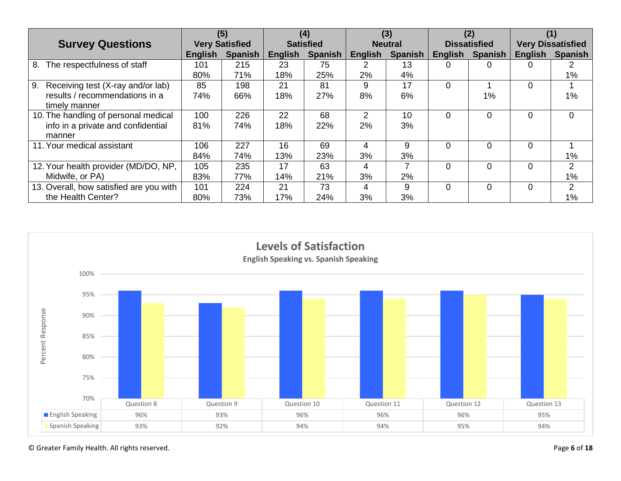|                                         | (5)                   |                | (4)              |                | (3)            |         | (2)                 |                | (1)                      |                |
|-----------------------------------------|-----------------------|----------------|------------------|----------------|----------------|---------|---------------------|----------------|--------------------------|----------------|
| <b>Survey Questions</b>                 | <b>Very Satisfied</b> |                | <b>Satisfied</b> |                | <b>Neutral</b> |         | <b>Dissatisfied</b> |                | <b>Very Dissatisfied</b> |                |
|                                         | <b>English</b>        | <b>Spanish</b> | <b>English</b>   | <b>Spanish</b> | <b>English</b> | Spanish | <b>English</b>      | <b>Spanish</b> | <b>English</b>           | <b>Spanish</b> |
| The respectfulness of staff<br>8.       | 101                   | 215            | 23               | 75             | 2              | 13      | 0                   |                | 0                        |                |
|                                         | 80%                   | 71%            | 18%              | 25%            | 2%             | 4%      |                     |                |                          | $1\%$          |
| 9.<br>Receiving test (X-ray and/or lab) | 85                    | 198            | 21               | 81             | 9              | 17      | $\Omega$            |                | $\Omega$                 |                |
| results / recommendations in a          | 74%                   | 66%            | 18%              | 27%            | 8%             | 6%      |                     | 1%             |                          | $1\%$          |
| timely manner                           |                       |                |                  |                |                |         |                     |                |                          |                |
| 10. The handling of personal medical    | 100                   | 226            | 22               | 68             | $\mathcal{P}$  | 10      | $\Omega$            | 0              | 0                        | $\Omega$       |
| info in a private and confidential      | 81%                   | 74%            | 18%              | 22%            | 2%             | 3%      |                     |                |                          |                |
| manner                                  |                       |                |                  |                |                |         |                     |                |                          |                |
| 11. Your medical assistant              | 106                   | 227            | 16               | 69             | 4              | 9       | $\Omega$            |                | $\Omega$                 |                |
|                                         | 84%                   | 74%            | 13%              | 23%            | 3%             | 3%      |                     |                |                          | $1\%$          |
| 12. Your health provider (MD/DO, NP,    | 105                   | 235            | 17               | 63             | 4              |         | 0                   | 0              | $\Omega$                 | $\overline{2}$ |
| Midwife, or PA)                         | 83%                   | 77%            | 14%              | 21%            | 3%             | 2%      |                     |                |                          | $1\%$          |
| 13. Overall, how satisfied are you with | 101                   | 224            | 21               | 73             | 4              | 9       | 0                   | 0              | $\Omega$                 | 2              |
| the Health Center?                      | 80%                   | 73%            | 17%              | 24%            | 3%             | 3%      |                     |                |                          | $1\%$          |

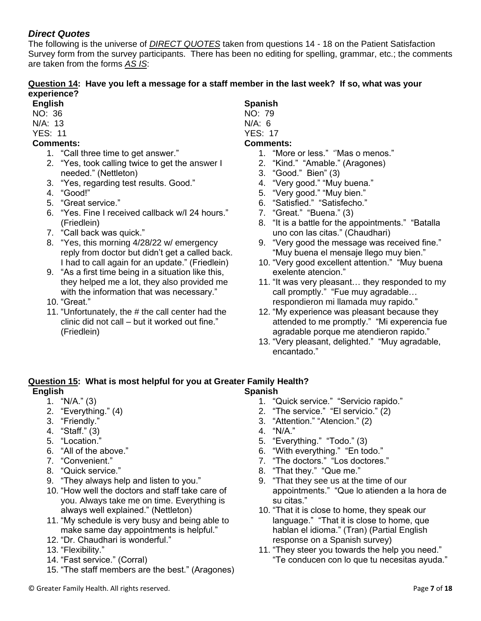### *Direct Quotes*

The following is the universe of *DIRECT QUOTES* taken from questions 14 - 18 on the Patient Satisfaction Survey form from the survey participants. There has been no editing for spelling, grammar, etc.; the comments are taken from the forms *AS IS*:

### **Question 14: Have you left a message for a staff member in the last week? If so, what was your experience?**

- **English**
- NO: 36
- N/A: 13
- YES: 11
- **Comments:**
	- 1. "Call three time to get answer."
	- 2. "Yes, took calling twice to get the answer I needed." (Nettleton)
	- 3. "Yes, regarding test results. Good."
	- 4. "Good!"
	- 5. "Great service."
	- 6. "Yes. Fine I received callback w/I 24 hours." (Friedlein)
	- 7. "Call back was quick."
	- 8. "Yes, this morning 4/28/22 w/ emergency reply from doctor but didn't get a called back. I had to call again for an update." (Friedlein)
	- 9. "As a first time being in a situation like this, they helped me a lot, they also provided me with the information that was necessary."
	- 10. "Great."
	- 11. "Unfortunately, the # the call center had the clinic did not call – but it worked out fine." (Friedlein)

# **Spanish**

- NO: 79
- N/A: 6 YES: 17

## **Comments:**

- 1. "More or less." ''Mas o menos."
- 2. "Kind." "Amable." (Aragones)
- 3. "Good." Bien" (3)
- 4. "Very good." "Muy buena."
- 5. "Very good." "Muy bien."
- 6. "Satisfied." "Satisfecho."
- 7. "Great." "Buena." (3)
- 8. "It is a battle for the appointments." "Batalla uno con las citas." (Chaudhari)
- 9. "Very good the message was received fine." "Muy buena el mensaje llego muy bien."
- 10. "Very good excellent attention." "Muy buena exelente atencion."
- 11. "It was very pleasant… they responded to my call promptly." "Fue muy agradable… respondieron mi llamada muy rapido."
- 12. "My experience was pleasant because they attended to me promptly." "Mi experencia fue agradable porque me atendieron rapido."
- 13. "Very pleasant, delighted." "Muy agradable, encantado."

#### **Question 15: What is most helpful for you at Greater Family Health? English Spanish**

- $1.$  "N/A." (3)
- 2. "Everything." (4)
- 3. "Friendly."
- 4. "Staff." (3)
- 5. "Location."
- 6. "All of the above."
- 7. "Convenient."
- 8. "Quick service."
- 9. "They always help and listen to you."
- 10. "How well the doctors and staff take care of you. Always take me on time. Everything is always well explained." (Nettleton)
- 11. "My schedule is very busy and being able to make same day appointments is helpful."
- 12. "Dr. Chaudhari is wonderful."
- 13. "Flexibility."
- 14. "Fast service." (Corral)
- 15. "The staff members are the best." (Aragones)
- 
- 1. "Quick service." "Servicio rapido."
- 2. "The service." "El servicio." (2)
- 3. "Attention." "Atencion." (2)
- 4. "N/A."
- 5. "Everything." "Todo." (3)
- 6. "With everything." "En todo."
- 7. "The doctors." "Los doctores."
- 8. "That they." "Que me."
- 9. "That they see us at the time of our appointments." "Que lo atienden a la hora de su citas."
- 10. "That it is close to home, they speak our language." "That it is close to home, que hablan el idioma." (Tran) (Partial English response on a Spanish survey)
- 11. "They steer you towards the help you need." "Te conducen con lo que tu necesitas ayuda."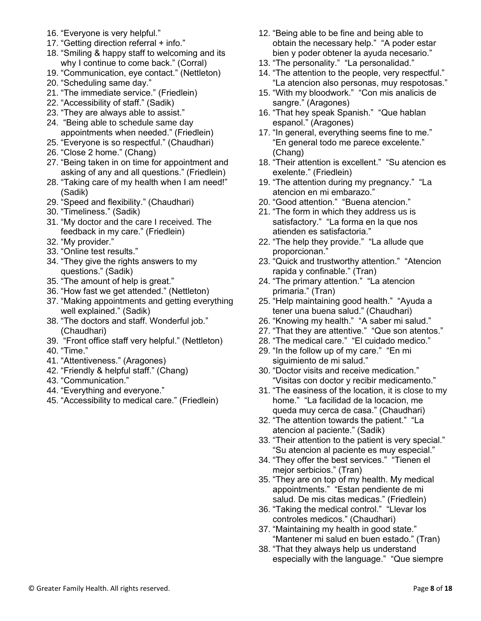- 16. "Everyone is very helpful."
- 17. "Getting direction referral + info."
- 18. "Smiling & happy staff to welcoming and its why I continue to come back." (Corral)
- 19. "Communication, eye contact." (Nettleton)
- 20. "Scheduling same day."
- 21. "The immediate service." (Friedlein)
- 22. "Accessibility of staff." (Sadik)
- 23. "They are always able to assist."
- 24. "Being able to schedule same day appointments when needed." (Friedlein)
- 25. "Everyone is so respectful." (Chaudhari)
- 26. "Close 2 home." (Chang)
- 27. "Being taken in on time for appointment and asking of any and all questions." (Friedlein)
- 28. "Taking care of my health when I am need!" (Sadik)
- 29. "Speed and flexibility." (Chaudhari)
- 30. "Timeliness." (Sadik)
- 31. "My doctor and the care I received. The feedback in my care." (Friedlein)
- 32. "My provider."
- 33. "Online test results."
- 34. "They give the rights answers to my questions." (Sadik)
- 35. "The amount of help is great."
- 36. "How fast we get attended." (Nettleton)
- 37. "Making appointments and getting everything well explained." (Sadik)
- 38. "The doctors and staff. Wonderful job." (Chaudhari)
- 39. "Front office staff very helpful." (Nettleton)
- 40. "Time."
- 41. "Attentiveness." (Aragones)
- 42. "Friendly & helpful staff." (Chang)
- 43. "Communication."
- 44. "Everything and everyone."
- 45. "Accessibility to medical care." (Friedlein)
- 12. "Being able to be fine and being able to obtain the necessary help." "A poder estar bien y poder obtener la ayuda necesario."
- 13. "The personality." "La personalidad."
- 14. "The attention to the people, very respectful." "La atencion also personas, muy respotosas."
- 15. "With my bloodwork." "Con mis analicis de sangre." (Aragones)
- 16. "That hey speak Spanish." "Que hablan espanol." (Aragones)
- 17. "In general, everything seems fine to me." "En general todo me parece excelente." (Chang)
- 18. "Their attention is excellent." "Su atencion es exelente." (Friedlein)
- 19. "The attention during my pregnancy." "La atencion en mi embarazo."
- 20. "Good attention." "Buena atencion."
- 21. "The form in which they address us is satisfactory." "La forma en la que nos atienden es satisfactoria."
- 22. "The help they provide." "La allude que proporcionan."
- 23. "Quick and trustworthy attention." "Atencion rapida y confinable." (Tran)
- 24. "The primary attention." "La atencion primaria." (Tran)
- 25. "Help maintaining good health." "Ayuda a tener una buena salud." (Chaudhari)
- 26. "Knowing my health." "A saber mi salud."
- 27. "That they are attentive." "Que son atentos."
- 28. "The medical care." "El cuidado medico."
- 29. "In the follow up of my care." "En mi siguimiento de mi salud."
- 30. "Doctor visits and receive medication." "Visitas con doctor y recibir medicamento."
- 31. "The easiness of the location, it is close to my home." "La facilidad de la locacion, me queda muy cerca de casa." (Chaudhari)
- 32. "The attention towards the patient." "La atencion al paciente." (Sadik)
- 33. "Their attention to the patient is very special." "Su atencion al paciente es muy especial."
- 34. "They offer the best services." "Tienen el mejor serbicios." (Tran)
- 35. "They are on top of my health. My medical appointments." "Estan pendiente de mi salud. De mis citas medicas." (Friedlein)
- 36. "Taking the medical control." "Llevar los controles medicos." (Chaudhari)
- 37. "Maintaining my health in good state." "Mantener mi salud en buen estado." (Tran)
- 38. "That they always help us understand especially with the language." "Que siempre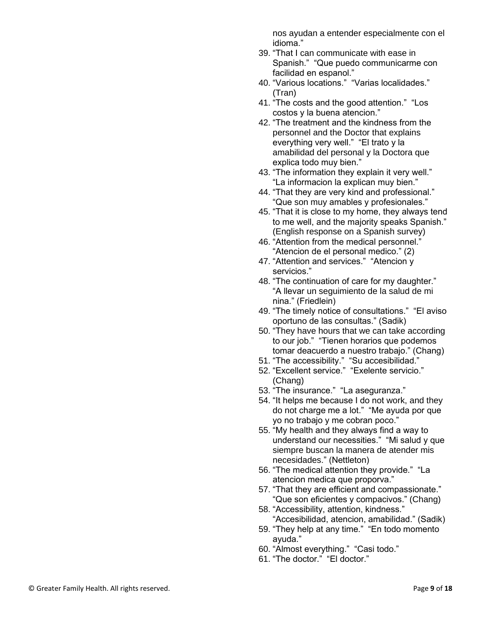nos ayudan a entender especialmente con el idioma."

- 39. "That I can communicate with ease in Spanish." "Que puedo communicarme con facilidad en espanol."
- 40. "Various locations." "Varias localidades." (Tran)
- 41. "The costs and the good attention." "Los costos y la buena atencion."
- 42. "The treatment and the kindness from the personnel and the Doctor that explains everything very well." "El trato y la amabilidad del personal y la Doctora que explica todo muy bien."
- 43. "The information they explain it very well." "La informacion la explican muy bien."
- 44. "That they are very kind and professional." "Que son muy amables y profesionales."
- 45. "That it is close to my home, they always tend to me well, and the majority speaks Spanish." (English response on a Spanish survey)
- 46. "Attention from the medical personnel." "Atencion de el personal medico." (2)
- 47. "Attention and services." "Atencion y servicios."
- 48. "The continuation of care for my daughter." "A llevar un seguimiento de la salud de mi nina." (Friedlein)
- 49. "The timely notice of consultations." "El aviso oportuno de las consultas." (Sadik)
- 50. "They have hours that we can take according to our job." "Tienen horarios que podemos tomar deacuerdo a nuestro trabajo." (Chang)
- 51. "The accessibility." "Su accesibilidad."
- 52. "Excellent service." "Exelente servicio." (Chang)
- 53. "The insurance." "La aseguranza."
- 54. "It helps me because I do not work, and they do not charge me a lot." "Me ayuda por que yo no trabajo y me cobran poco."
- 55. "My health and they always find a way to understand our necessities." "Mi salud y que siempre buscan la manera de atender mis necesidades." (Nettleton)
- 56. "The medical attention they provide." "La atencion medica que proporva."
- 57. "That they are efficient and compassionate." "Que son eficientes y compacivos." (Chang)
- 58. "Accessibility, attention, kindness." "Accesibilidad, atencion, amabilidad." (Sadik)
- 59. "They help at any time." "En todo momento ayuda."
- 60. "Almost everything." "Casi todo."
- 61. "The doctor." "El doctor."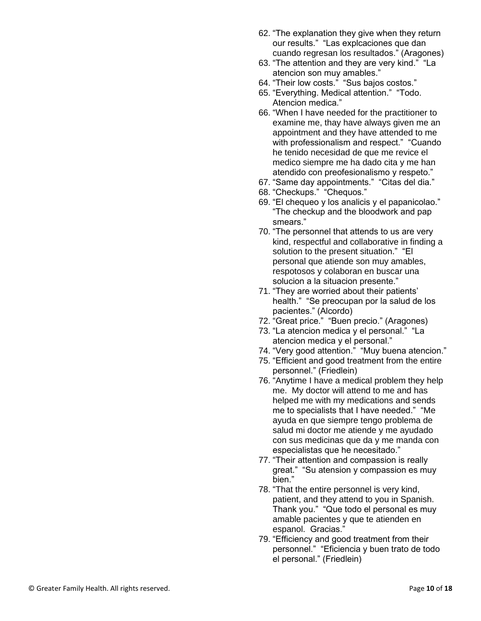- 62. "The explanation they give when they return our results." "Las explcaciones que dan cuando regresan los resultados." (Aragones)
- 63. "The attention and they are very kind." "La atencion son muy amables."
- 64. "Their low costs." "Sus bajos costos."
- 65. "Everything. Medical attention." "Todo. Atencion medica."
- 66. "When I have needed for the practitioner to examine me, thay have always given me an appointment and they have attended to me with professionalism and respect." "Cuando he tenido necesidad de que me revice el medico siempre me ha dado cita y me han atendido con preofesionalismo y respeto."
- 67. "Same day appointments." "Citas del dia."
- 68. "Checkups." "Chequos."
- 69. "El chequeo y los analicis y el papanicolao." "The checkup and the bloodwork and pap smears."
- 70. "The personnel that attends to us are very kind, respectful and collaborative in finding a solution to the present situation." "El personal que atiende son muy amables, respotosos y colaboran en buscar una solucion a la situacion presente."
- 71. "They are worried about their patients' health." "Se preocupan por la salud de los pacientes." (Alcordo)
- 72. "Great price." "Buen precio." (Aragones)
- 73. "La atencion medica y el personal." "La atencion medica y el personal."
- 74. "Very good attention." "Muy buena atencion."
- 75. "Efficient and good treatment from the entire personnel." (Friedlein)
- 76. "Anytime I have a medical problem they help me. My doctor will attend to me and has helped me with my medications and sends me to specialists that I have needed." "Me ayuda en que siempre tengo problema de salud mi doctor me atiende y me ayudado con sus medicinas que da y me manda con especialistas que he necesitado."
- 77. "Their attention and compassion is really great." "Su atension y compassion es muy bien."
- 78. " That the entire personnel is very kind, patient, and they attend to you in Spanish. Thank you." "Que todo el personal es muy amable pacientes y que te atienden en espanol. Gracias."
- 79. "Efficiency and good treatment from their personnel." "Eficiencia y buen trato de todo el personal." (Friedlein)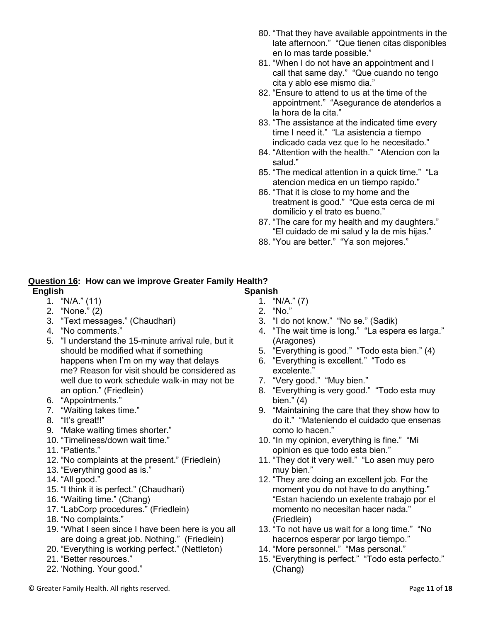- 80. "That they have available appointments in the late afternoon." "Que tienen citas disponibles en lo mas tarde possible."
- 81. "When I do not have an appointment and I call that same day." "Que cuando no tengo cita y ablo ese mismo dia."
- 82. "Ensure to attend to us at the time of the appointment." "Asegurance de atenderlos a la hora de la cita."
- 83. "The assistance at the indicated time every time I need it." "La asistencia a tiempo indicado cada vez que lo he necesitado."
- 84. "Attention with the health." "Atencion con la salud."
- 85. "The medical attention in a quick time." "La atencion medica en un tiempo rapido."
- 86. "That it is close to my home and the treatment is good." "Que esta cerca de mi domilicio y el trato es bueno."
- 87. "The care for my health and my daughters." "El cuidado de mi salud y la de mis hijas."
- 88. "You are better." "Ya son mejores."

## **Question 16: How can we improve Greater Family Health?**

### **English**

- $1.$  "N/A."  $(11)$
- 2. "None." (2)
- 3. "Text messages." (Chaudhari)
- 4. "No comments."
- 5. "I understand the 15-minute arrival rule, but it should be modified what if something happens when I'm on my way that delays me? Reason for visit should be considered as well due to work schedule walk-in may not be an option." (Friedlein)
- 6. "Appointments."
- 7. "Waiting takes time."
- 8. "It's great!!"
- 9. "Make waiting times shorter."
- 10. "Timeliness/down wait time."
- 11. "Patients."
- 12. "No complaints at the present." (Friedlein)
- 13. "Everything good as is."
- 14. "All good."
- 15. "I think it is perfect." (Chaudhari)
- 16. "Waiting time." (Chang)
- 17. "LabCorp procedures." (Friedlein)
- 18. "No complaints."
- 19. "What I seen since I have been here is you all are doing a great job. Nothing." (Friedlein)
- 20. "Everything is working perfect." (Nettleton)
- 21. "Better resources."
- 22. 'Nothing. Your good."

**Spanish** 1. "N/A." (7)

- 2. "No."
- 3. "I do not know." "No se." (Sadik)
- 4. "The wait time is long." "La espera es larga." (Aragones)
- 5. "Everything is good." "Todo esta bien." (4)
- 6. "Everything is excellent." "Todo es excelente."
- 7. "Very good." "Muy bien."
- 8. "Everything is very good." "Todo esta muy bien." (4)
- 9. "Maintaining the care that they show how to do it." "Mateniendo el cuidado que ensenas como lo hacen."
- 10. "In my opinion, everything is fine." "Mi opinion es que todo esta bien."
- 11. "They dot it very well." "Lo asen muy pero muy bien."
- 12. "They are doing an excellent job. For the moment you do not have to do anything." "Estan haciendo un exelente trabajo por el momento no necesitan hacer nada." (Friedlein)
- 13. "To not have us wait for a long time." "No hacernos esperar por largo tiempo."
- 14. "More personnel." "Mas personal."
- 15. "Everything is perfect." "Todo esta perfecto." (Chang)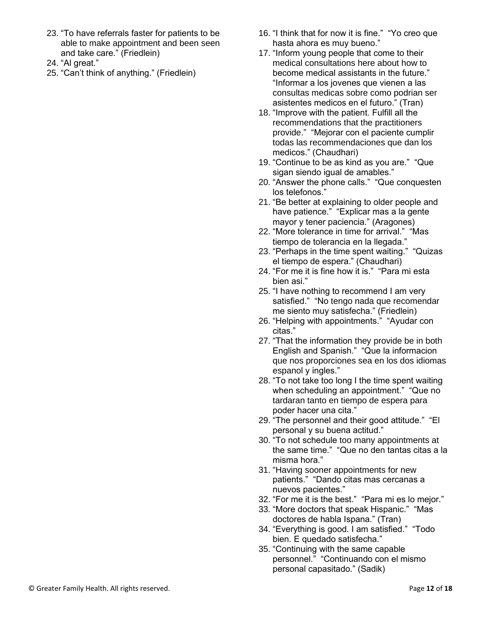- 23. "To have referrals faster for patients to be able to make appointment and been seen and take care." (Friedlein)
- 24. "Al great."
- 25. "Can't think of anything." (Friedlein)
- 16. "I think that for now it is fine." "Yo creo que hasta ahora es muy bueno."
- 17. "Inform young people that come to their medical consultations here about how to become medical assistants in the future." "Informar a los jovenes que vienen a las consultas medicas sobre como podrian ser asistentes medicos en el futuro." (Tran)
- 18. "Improve with the patient. Fulfill all the recommendations that the practitioners provide." "Mejorar con el paciente cumplir todas las recommendaciones que dan los medicos." (Chaudhari)
- 19. "Continue to be as kind as you are." "Que sigan siendo igual de amables."
- 20. "Answer the phone calls." "Que conquesten los telefonos."
- 21. "Be better at explaining to older people and have patience." "Explicar mas a la gente mayor y tener paciencia." (Aragones)
- 22. "More tolerance in time for arrival." "Mas tiempo de tolerancia en la llegada."
- 23. "Perhaps in the time spent waiting." "Quizas el tiempo de espera." (Chaudhari)
- 24. "For me it is fine how it is." "Para mi esta bien asi."
- 25. "I have nothing to recommend I am very satisfied." "No tengo nada que recomendar me siento muy satisfecha." (Friedlein)
- 26. "Helping with appointments." "Ayudar con citas."
- 27. "That the information they provide be in both English and Spanish." "Que la informacion que nos proporciones sea en los dos idiomas espanol y ingles."
- 28. "To not take too long I the time spent waiting when scheduling an appointment." "Que no tardaran tanto en tiempo de espera para poder hacer una cita."
- 29. "The personnel and their good attitude." "El personal y su buena actitud."
- 30. "To not schedule too many appointments at the same time." "Que no den tantas citas a la misma hora."
- 31. "Having sooner appointments for new patients." "Dando citas mas cercanas a nuevos pacientes."
- 32. "For me it is the best." "Para mi es lo mejor."
- 33. "More doctors that speak Hispanic." "Mas doctores de habla Ispana." (Tran)
- 34. "Everything is good. I am satisfied." "Todo bien. E quedado satisfecha."
- 35. "Continuing with the same capable personnel." "Continuando con el mismo personal capasitado." (Sadik)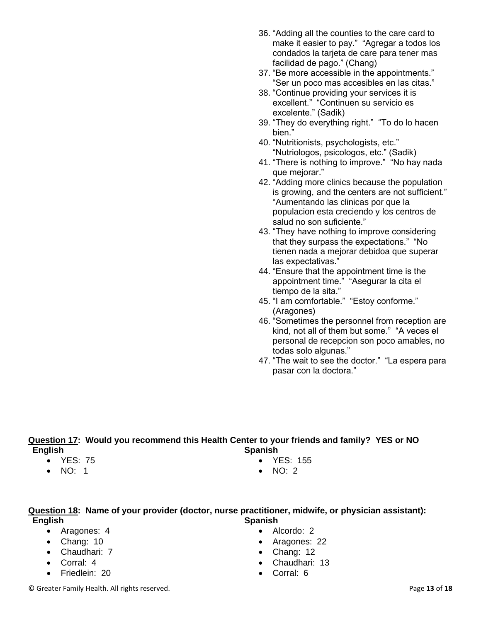- 36. "Adding all the counties to the care card to make it easier to pay." "Agregar a todos los condados la tarjeta de care para tener mas facilidad de pago." (Chang)
- 37. "Be more accessible in the appointments." "Ser un poco mas accesibles en las citas."
- 38. "Continue providing your services it is excellent." "Continuen su servicio es excelente." (Sadik)
- 39. "They do everything right." "To do lo hacen hien<sup>"</sup>
- 40. "Nutritionists, psychologists, etc." "Nutriologos, psicologos, etc." (Sadik)
- 41. "There is nothing to improve." "No hay nada que mejorar."
- 42. "Adding more clinics because the population is growing, and the centers are not sufficient." "Aumentando las clinicas por que la populacion esta creciendo y los centros de salud no son suficiente."
- 43. "They have nothing to improve considering that they surpass the expectations." "No tienen nada a mejorar debidoa que superar las expectativas."
- 44. "Ensure that the appointment time is the appointment time." "Asegurar la cita el tiempo de la sita."
- 45. "I am comfortable." "Estoy conforme." (Aragones)
- 46. "Sometimes the personnel from reception are kind, not all of them but some." "A veces el personal de recepcion son poco amables, no todas solo algunas."
- 47. "The wait to see the doctor." "La espera para pasar con la doctora."

### **Question 17: Would you recommend this Health Center to your friends and family? YES or NO English Spanish**

- YES: 75
- NO: 1
- YES: 155
- NO: 2

### **Question 18: Name of your provider (doctor, nurse practitioner, midwife, or physician assistant): English Spanish**

- Aragones: 4
- Chang: 10
- Chaudhari: 7
- Corral: 4
- Friedlein: 20
- Alcordo: 2
- Aragones: 22
- Chang: 12
- Chaudhari: 13
- Corral: 6

© Greater Family Health. All rights reserved. Page **13** of **18**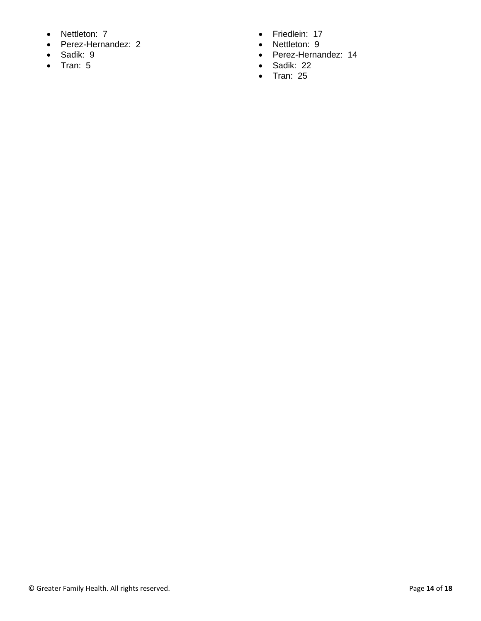- Nettleton: 7
- Perez-Hernandez: 2
- Sadik: 9
- Tran: 5
- Friedlein: 17
- Nettleton: 9
- Perez-Hernandez: 14
- Sadik: 22
- Tran: 25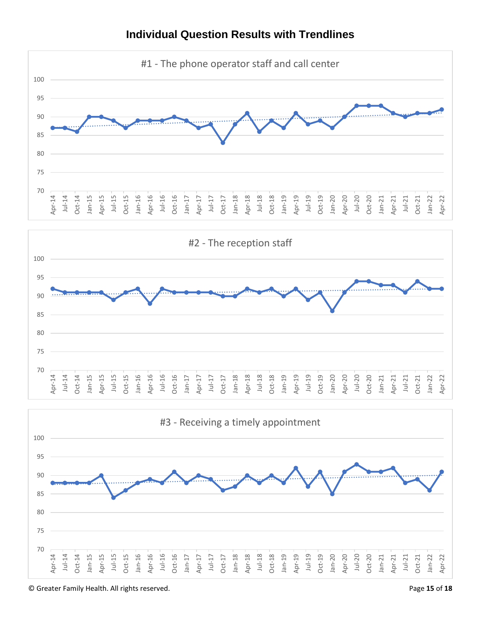

## **Individual Question Results with Trendlines**





© Greater Family Health. All rights reserved. Page **15** of **18**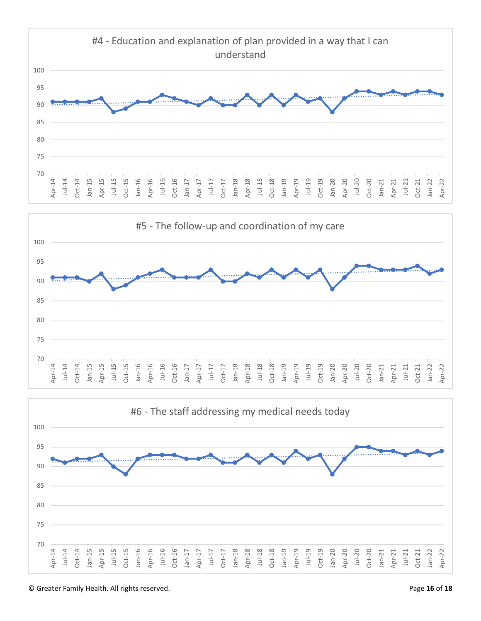



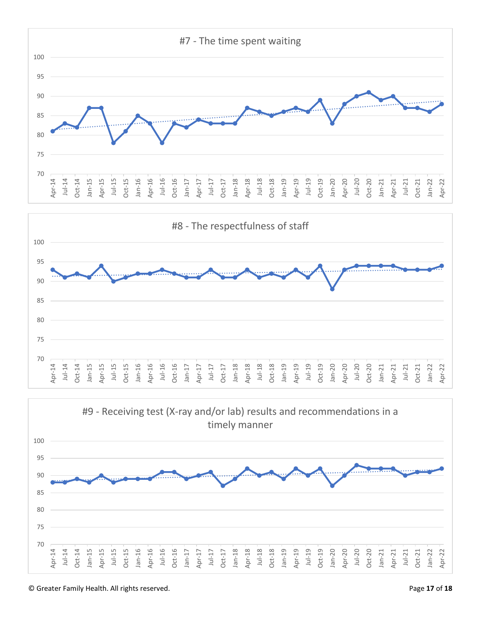